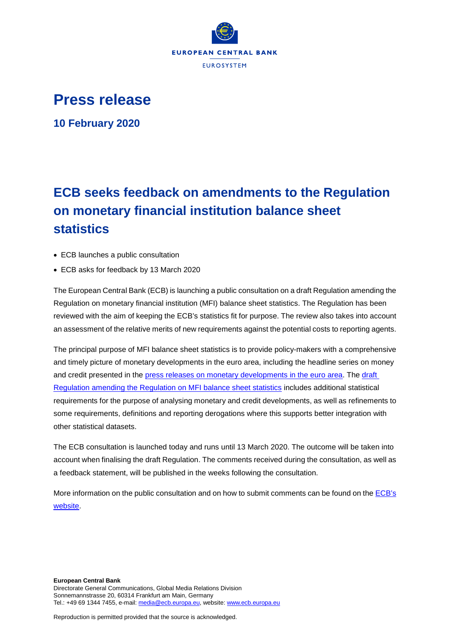

## **Press release**

**10 February 2020** 

## **ECB seeks feedback on amendments to the Regulation on monetary financial institution balance sheet statistics**

- ECB launches a public consultation
- ECB asks for feedback by 13 March 2020

The European Central Bank (ECB) is launching a public consultation on a draft Regulation amending the Regulation on monetary financial institution (MFI) balance sheet statistics. The Regulation has been reviewed with the aim of keeping the ECB's statistics fit for purpose. The review also takes into account an assessment of the relative merits of new requirements against the potential costs to reporting agents.

The principal purpose of MFI balance sheet statistics is to provide policy-makers with a comprehensive and timely picture of monetary developments in the euro area, including the headline series on money and credit presented in the [press releases on monetary developments in the euro area.](https://www.ecb.europa.eu/press/pr/stats/md/html/index.en.html) The [draft](https://www.ecb.europa.eu/stats/ecb_statistics/governance_and_quality_framework/consultations/shared/files/mfibss/pc_mfibss_regulation_annexes.pdf)  [Regulation amending the Regulation on MFI balance sheet statistics](https://www.ecb.europa.eu/stats/ecb_statistics/governance_and_quality_framework/consultations/shared/files/mfibss/pc_mfibss_regulation_annexes.pdf) includes additional statistical requirements for the purpose of analysing monetary and credit developments, as well as refinements to some requirements, definitions and reporting derogations where this supports better integration with other statistical datasets.

The ECB consultation is launched today and runs until 13 March 2020. The outcome will be taken into account when finalising the draft Regulation. The comments received during the consultation, as well as a feedback statement, will be published in the weeks following the consultation.

More information on the public consultation and on how to submit comments can be found on th[e ECB's](https://www.ecb.europa.eu/stats/ecb_statistics/governance_and_quality_framework/consultations/html/mfi_bss.en.html)  [website.](https://www.ecb.europa.eu/stats/ecb_statistics/governance_and_quality_framework/consultations/html/mfi_bss.en.html)

Reproduction is permitted provided that the source is acknowledged.